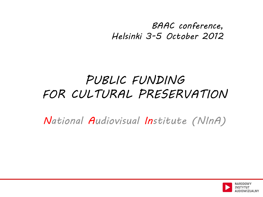*BAAC conference, Helsinki 3-5 October 2012*

## *PUBLIC FUNDING FOR CULTURAL PRESERVATION*

*National Audiovisual Institute (NInA)*

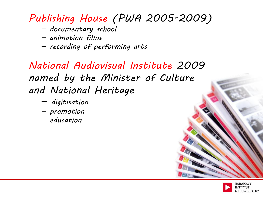### *Publishing House (PWA 2005-2009)*

- *documentary school*
- *animation films*
- *recording of performing arts*

*National Audiovisual Institute 2009 named by the Minister of Culture and National Heritage*

- *digitisation*
- *promotion*
- *education*

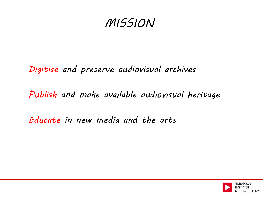## *MISSION*

#### *Digitise and preserve audiovisual archives*

#### *Publish and make available audiovisual heritage*

#### *Educate in new media and the arts*

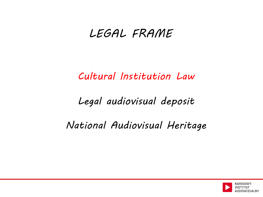### *LEGAL FRAME*

*Cultural Institution Law*

*Legal audiovisual deposit*

*National Audiovisual Heritage*

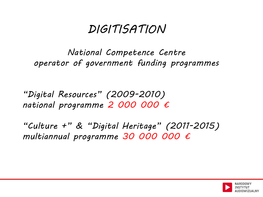## *DIGITISATION*

*National Competence Centre operator of government funding programmes*

*"Digital Resources" (2009-2010) national programme 2 000 000 €*

*"Culture +" & "Digital Heritage" (2011-2015) multiannual programme 30 000 000 €*

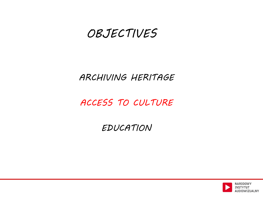### *OBJECTIVES*

#### *ARCHIVING HERITAGE*

#### *ACCESS TO CULTURE*

#### *EDUCATION*

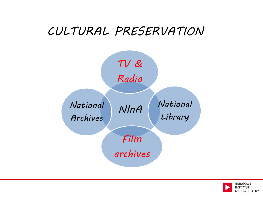## *CULTURAL PRESERVATION*



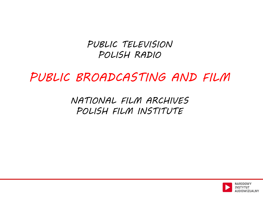#### *PUBLIC TELEVISION POLISH RADIO*

*PUBLIC BROADCASTING AND FILM*

*NATIONAL FILM ARCHIVES POLISH FILM INSTITUTE*

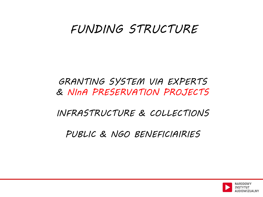### *FUNDING STRUCTURE*

#### *GRANTING SYSTEM VIA EXPERTS & NInA PRESERVATION PROJECTS*

*INFRASTRUCTURE & COLLECTIONS*

*PUBLIC & NGO BENEFICIAIRIES*

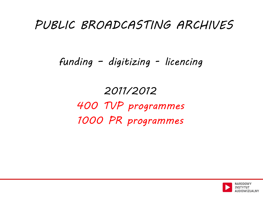## *PUBLIC BROADCASTING ARCHIVES*

### *funding – digitizing - licencing*

*2011/2012 400 TVP programmes 1000 PR programmes*

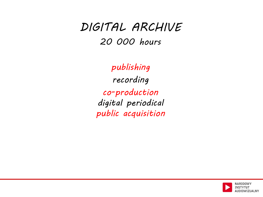### *DIGITAL ARCHIVE 20 000 hours*

*publishing recording co-production digital periodical public acquisition*

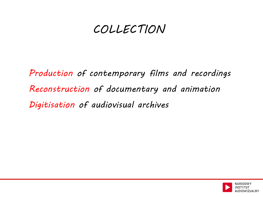### *COLLECTION*

*Production of contemporary films and recordings Reconstruction of documentary and animation Digitisation of audiovisual archives*

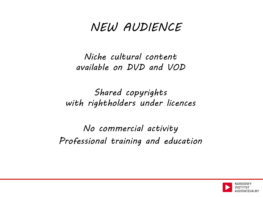## *NEW AUDIENCE*

*Niche cultural content available on DVD and VOD*

*Shared copyrights with rightholders under licences*

*No commercial activity Professional training and education*

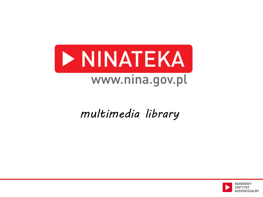

## *multimedia library*

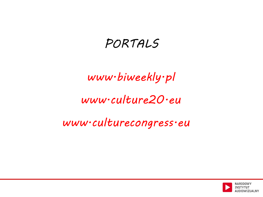## *PORTALS*

## *www.biweekly.pl*

### *www.culture20.eu*

#### *www.culturecongress.eu*

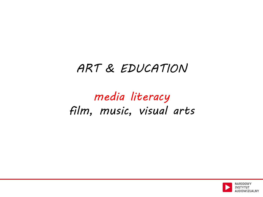## *ART & EDUCATION*

## *media literacy film, music, visual arts*

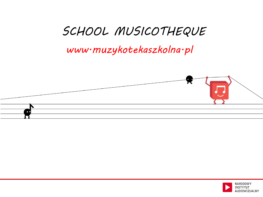## *SCHOOL MUSICOTHEQUE*

#### *www.muzykotekaszkolna.pl*



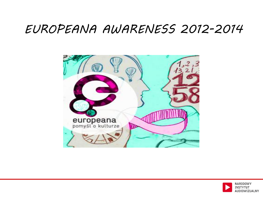### *EUROPEANA AWARENESS 2012-2014*



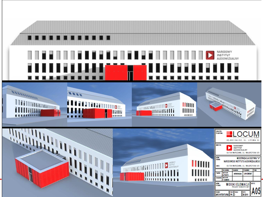